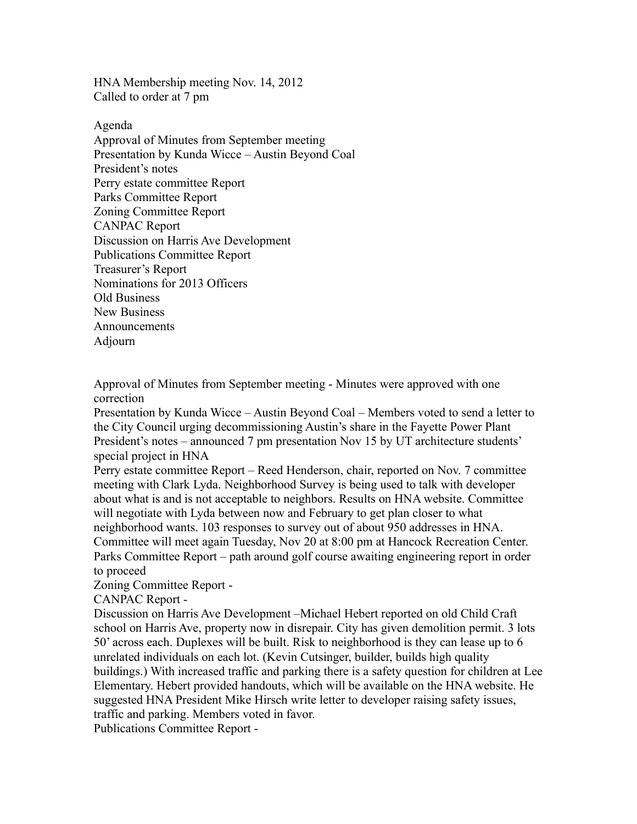HNA Membership meeting Nov. 14, 2012 Called to order at 7 pm

Agenda Approval of Minutes from September meeting Presentation by Kunda Wicce – Austin Beyond Coal President's notes Perry estate committee Report Parks Committee Report Zoning Committee Report CANPAC Report Discussion on Harris Ave Development Publications Committee Report Treasurer's Report Nominations for 2013 Officers Old Business New Business Announcements Adjourn

Approval of Minutes from September meeting - Minutes were approved with one correction

Presentation by Kunda Wicce – Austin Beyond Coal – Members voted to send a letter to the City Council urging decommissioning Austin's share in the Fayette Power Plant President's notes – announced 7 pm presentation Nov 15 by UT architecture students' special project in HNA

Perry estate committee Report – Reed Henderson, chair, reported on Nov. 7 committee meeting with Clark Lyda. Neighborhood Survey is being used to talk with developer about what is and is not acceptable to neighbors. Results on HNA website. Committee will negotiate with Lyda between now and February to get plan closer to what neighborhood wants. 103 responses to survey out of about 950 addresses in HNA. Committee will meet again Tuesday, Nov 20 at 8:00 pm at Hancock Recreation Center. Parks Committee Report – path around golf course awaiting engineering report in order to proceed

Zoning Committee Report -

CANPAC Report -

Discussion on Harris Ave Development –Michael Hebert reported on old Child Craft school on Harris Ave, property now in disrepair. City has given demolition permit. 3 lots 50' across each. Duplexes will be built. Risk to neighborhood is they can lease up to 6 unrelated individuals on each lot. (Kevin Cutsinger, builder, builds high quality buildings.) With increased traffic and parking there is a safety question for children at Lee Elementary. Hebert provided handouts, which will be available on the HNA website. He suggested HNA President Mike Hirsch write letter to developer raising safety issues, traffic and parking. Members voted in favor.

Publications Committee Report -